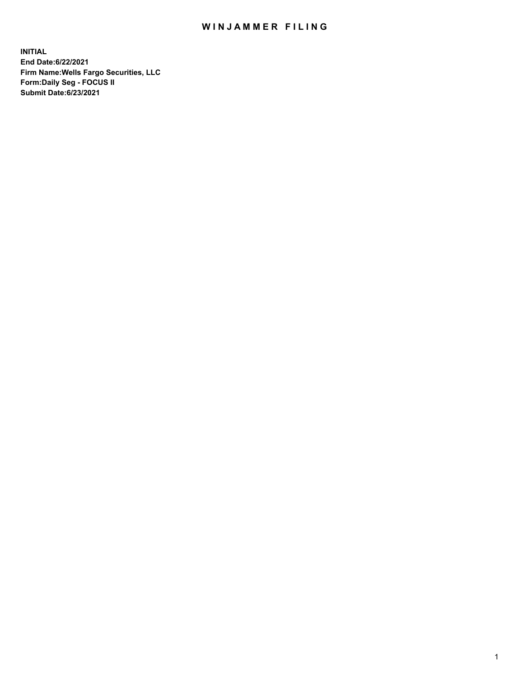## WIN JAMMER FILING

**INITIAL End Date:6/22/2021 Firm Name:Wells Fargo Securities, LLC Form:Daily Seg - FOCUS II Submit Date:6/23/2021**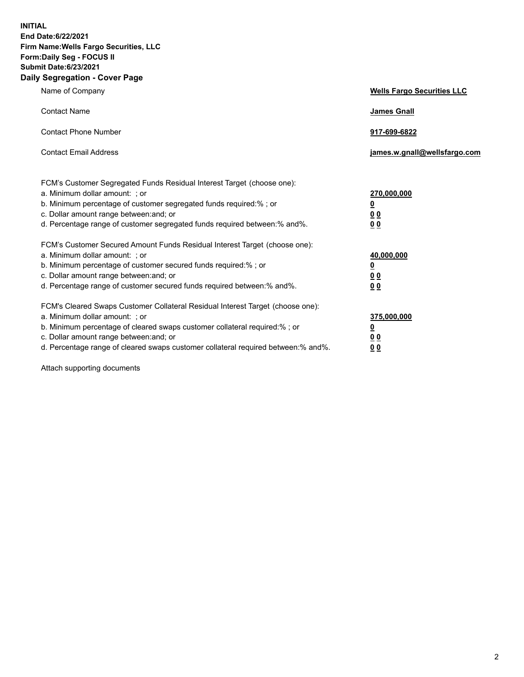**INITIAL End Date:6/22/2021 Firm Name:Wells Fargo Securities, LLC Form:Daily Seg - FOCUS II Submit Date:6/23/2021 Daily Segregation - Cover Page**

| Name of Company                                                                                                                                                                                                                                                                                                                | <b>Wells Fargo Securities LLC</b>                          |
|--------------------------------------------------------------------------------------------------------------------------------------------------------------------------------------------------------------------------------------------------------------------------------------------------------------------------------|------------------------------------------------------------|
| <b>Contact Name</b>                                                                                                                                                                                                                                                                                                            | <b>James Gnall</b>                                         |
| <b>Contact Phone Number</b>                                                                                                                                                                                                                                                                                                    | 917-699-6822                                               |
| <b>Contact Email Address</b>                                                                                                                                                                                                                                                                                                   | james.w.gnall@wellsfargo.com                               |
| FCM's Customer Segregated Funds Residual Interest Target (choose one):<br>a. Minimum dollar amount: ; or<br>b. Minimum percentage of customer segregated funds required:% ; or<br>c. Dollar amount range between: and; or<br>d. Percentage range of customer segregated funds required between: % and %.                       | 270,000,000<br><u>0</u><br><u>00</u><br>0 <sub>0</sub>     |
| FCM's Customer Secured Amount Funds Residual Interest Target (choose one):<br>a. Minimum dollar amount: ; or<br>b. Minimum percentage of customer secured funds required:% ; or<br>c. Dollar amount range between: and; or<br>d. Percentage range of customer secured funds required between: % and %.                         | 40,000,000<br><u>0</u><br>0 <sub>0</sub><br>0 <sub>0</sub> |
| FCM's Cleared Swaps Customer Collateral Residual Interest Target (choose one):<br>a. Minimum dollar amount: ; or<br>b. Minimum percentage of cleared swaps customer collateral required:% ; or<br>c. Dollar amount range between: and; or<br>d. Percentage range of cleared swaps customer collateral required between:% and%. | 375,000,000<br><u>0</u><br>00<br><u>00</u>                 |

Attach supporting documents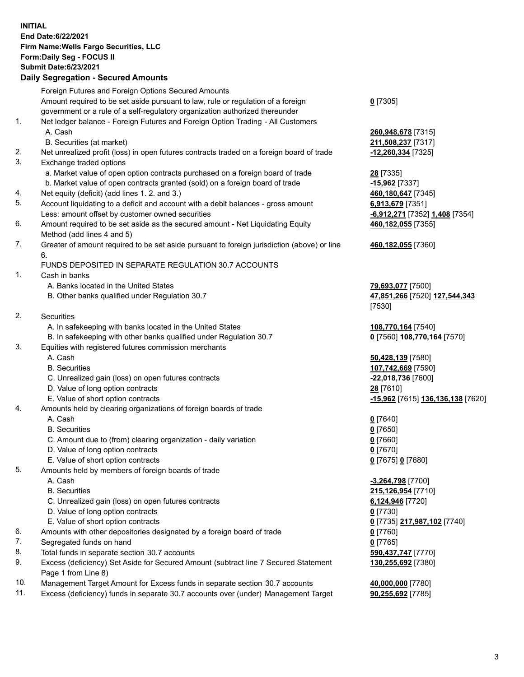**INITIAL End Date:6/22/2021 Firm Name:Wells Fargo Securities, LLC Form:Daily Seg - FOCUS II Submit Date:6/23/2021**

## **Daily Segregation - Secured Amounts**

|    | Foreign Futures and Foreign Options Secured Amounts                                         |                                   |
|----|---------------------------------------------------------------------------------------------|-----------------------------------|
|    | Amount required to be set aside pursuant to law, rule or regulation of a foreign            | $0$ [7305]                        |
|    | government or a rule of a self-regulatory organization authorized thereunder                |                                   |
| 1. | Net ledger balance - Foreign Futures and Foreign Option Trading - All Customers             |                                   |
|    | A. Cash                                                                                     | 260,948,678 [7315]                |
|    | B. Securities (at market)                                                                   | 211,508,237 [7317]                |
| 2. | Net unrealized profit (loss) in open futures contracts traded on a foreign board of trade   | -12,260,334 [7325]                |
| 3. | Exchange traded options                                                                     |                                   |
|    | a. Market value of open option contracts purchased on a foreign board of trade              | 28 [7335]                         |
|    | b. Market value of open contracts granted (sold) on a foreign board of trade                | $-15,962$ [7337]                  |
| 4. | Net equity (deficit) (add lines 1. 2. and 3.)                                               | 460,180,647 [7345]                |
| 5. | Account liquidating to a deficit and account with a debit balances - gross amount           | 6,913,679 [7351]                  |
|    | Less: amount offset by customer owned securities                                            | -6,912,271 [7352] 1,408 [7354]    |
| 6. | Amount required to be set aside as the secured amount - Net Liquidating Equity              | 460,182,055 [7355]                |
|    | Method (add lines 4 and 5)                                                                  |                                   |
| 7. | Greater of amount required to be set aside pursuant to foreign jurisdiction (above) or line | 460,182,055 [7360]                |
|    | 6.                                                                                          |                                   |
|    | FUNDS DEPOSITED IN SEPARATE REGULATION 30.7 ACCOUNTS                                        |                                   |
| 1. | Cash in banks                                                                               |                                   |
|    | A. Banks located in the United States                                                       | 79,693,077 [7500]                 |
|    | B. Other banks qualified under Regulation 30.7                                              | 47,851,266 [7520] 127,544,343     |
|    |                                                                                             | [7530]                            |
| 2. | <b>Securities</b>                                                                           |                                   |
|    | A. In safekeeping with banks located in the United States                                   | 108,770,164 [7540]                |
|    | B. In safekeeping with other banks qualified under Regulation 30.7                          | 0 [7560] 108,770,164 [7570]       |
| 3. | Equities with registered futures commission merchants                                       |                                   |
|    | A. Cash                                                                                     | 50,428,139 [7580]                 |
|    | <b>B.</b> Securities                                                                        | 107,742,669 [7590]                |
|    | C. Unrealized gain (loss) on open futures contracts                                         | -22,018,736 [7600]                |
|    | D. Value of long option contracts                                                           | 28 [7610]                         |
|    | E. Value of short option contracts                                                          | -15,962 [7615] 136,136,138 [7620] |
| 4. | Amounts held by clearing organizations of foreign boards of trade                           |                                   |
|    | A. Cash                                                                                     | $0$ [7640]                        |
|    | <b>B.</b> Securities                                                                        | $0$ [7650]                        |
|    | C. Amount due to (from) clearing organization - daily variation                             | $0$ [7660]                        |
|    | D. Value of long option contracts                                                           | $0$ [7670]                        |
|    | E. Value of short option contracts                                                          | 0 [7675] 0 [7680]                 |
| 5. | Amounts held by members of foreign boards of trade                                          |                                   |
|    | A. Cash                                                                                     | -3,264,798 [7700]                 |
|    | <b>B.</b> Securities                                                                        | 215,126,954 [7710]                |
|    | C. Unrealized gain (loss) on open futures contracts                                         | 6,124,946 [7720]                  |
|    | D. Value of long option contracts                                                           | $0$ [7730]                        |
|    | E. Value of short option contracts                                                          | 0 [7735] 217,987,102 [7740]       |
| 6. | Amounts with other depositories designated by a foreign board of trade                      | $0$ [7760]                        |
| 7. | Segregated funds on hand                                                                    | $0$ [7765]                        |
| 8. | Total funds in separate section 30.7 accounts                                               | 590,437,747 [7770]                |
| 9. | Excess (deficiency) Set Aside for Secured Amount (subtract line 7 Secured Statement         | 130,255,692 [7380]                |
|    | Page 1 from Line 8)                                                                         |                                   |

- 10. Management Target Amount for Excess funds in separate section 30.7 accounts **40,000,000** [7780]
- 11. Excess (deficiency) funds in separate 30.7 accounts over (under) Management Target **90,255,692** [7785]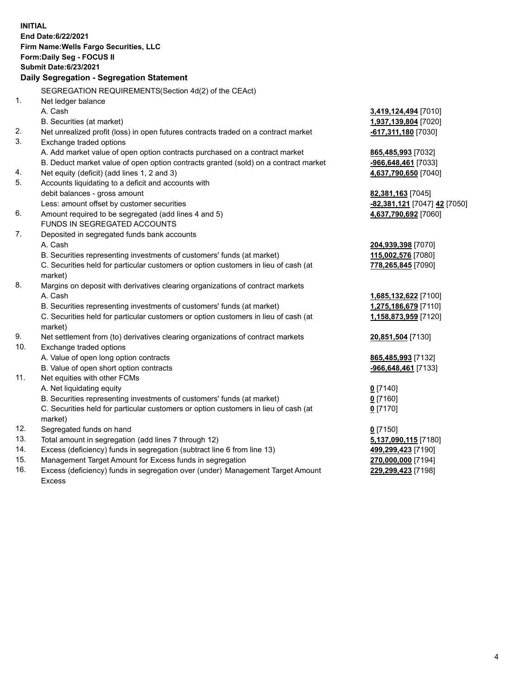**INITIAL End Date:6/22/2021 Firm Name:Wells Fargo Securities, LLC Form:Daily Seg - FOCUS II Submit Date:6/23/2021 Daily Segregation - Segregation Statement** SEGREGATION REQUIREMENTS(Section 4d(2) of the CEAct) 1. Net ledger balance A. Cash **3,419,124,494** [7010] B. Securities (at market) **1,937,139,804** [7020] 2. Net unrealized profit (loss) in open futures contracts traded on a contract market **-617,311,180** [7030] 3. Exchange traded options A. Add market value of open option contracts purchased on a contract market **865,485,993** [7032] B. Deduct market value of open option contracts granted (sold) on a contract market **-966,648,461** [7033] 4. Net equity (deficit) (add lines 1, 2 and 3) **4,637,790,650** [7040] 5. Accounts liquidating to a deficit and accounts with debit balances - gross amount **82,381,163** [7045] Less: amount offset by customer securities **-82,381,121** [7047] **42** [7050] 6. Amount required to be segregated (add lines 4 and 5) **4,637,790,692** [7060] FUNDS IN SEGREGATED ACCOUNTS 7. Deposited in segregated funds bank accounts A. Cash **204,939,398** [7070] B. Securities representing investments of customers' funds (at market) **115,002,576** [7080] C. Securities held for particular customers or option customers in lieu of cash (at market) **778,265,845** [7090] 8. Margins on deposit with derivatives clearing organizations of contract markets A. Cash **1,685,132,622** [7100] B. Securities representing investments of customers' funds (at market) **1,275,186,679** [7110] C. Securities held for particular customers or option customers in lieu of cash (at market) **1,158,873,959** [7120] 9. Net settlement from (to) derivatives clearing organizations of contract markets **20,851,504** [7130] 10. Exchange traded options A. Value of open long option contracts **865,485,993** [7132] B. Value of open short option contracts **-966,648,461** [7133] 11. Net equities with other FCMs A. Net liquidating equity **0** [7140] B. Securities representing investments of customers' funds (at market) **0** [7160] C. Securities held for particular customers or option customers in lieu of cash (at market) **0** [7170] 12. Segregated funds on hand **0** [7150] 13. Total amount in segregation (add lines 7 through 12) **5,137,090,115** [7180] 14. Excess (deficiency) funds in segregation (subtract line 6 from line 13) **499,299,423** [7190] 15. Management Target Amount for Excess funds in segregation **270,000,000** [7194] 16. Excess (deficiency) funds in segregation over (under) Management Target Amount **229,299,423** [7198]

Excess